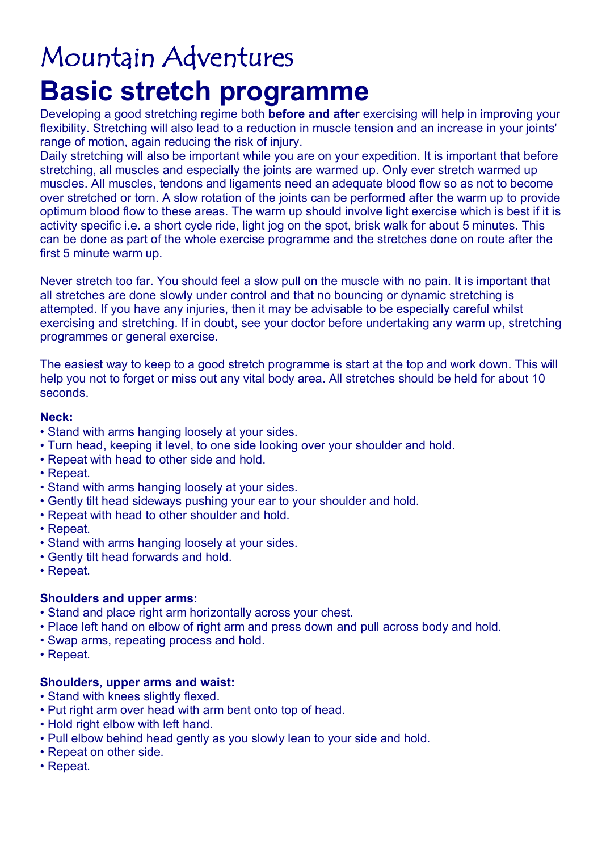# Mountain Adventures **Basic stretch programme**

Developing a good stretching regime both **before and after** exercising will help in improving your flexibility. Stretching will also lead to a reduction in muscle tension and an increase in your joints' range of motion, again reducing the risk of injury.

Daily stretching will also be important while you are on your expedition. It is important that before stretching, all muscles and especially the joints are warmed up. Only ever stretch warmed up muscles. All muscles, tendons and ligaments need an adequate blood flow so as not to become over stretched or torn. A slow rotation of the joints can be performed after the warm up to provide optimum blood flow to these areas. The warm up should involve light exercise which is best if it is activity specific i.e. a short cycle ride, light jog on the spot, brisk walk for about 5 minutes. This can be done as part of the whole exercise programme and the stretches done on route after the first 5 minute warm up.

Never stretch too far. You should feel a slow pull on the muscle with no pain. It is important that all stretches are done slowly under control and that no bouncing or dynamic stretching is attempted. If you have any injuries, then it may be advisable to be especially careful whilst exercising and stretching. If in doubt, see your doctor before undertaking any warm up, stretching programmes or general exercise.

The easiest way to keep to a good stretch programme is start at the top and work down. This will help you not to forget or miss out any vital body area. All stretches should be held for about 10 seconds.

#### **Neck:**

- Stand with arms hanging loosely at your sides.
- Turn head, keeping it level, to one side looking over your shoulder and hold.
- Repeat with head to other side and hold.
- Repeat.
- Stand with arms hanging loosely at your sides.
- Gently tilt head sideways pushing your ear to your shoulder and hold.
- Repeat with head to other shoulder and hold.
- Repeat.
- Stand with arms hanging loosely at your sides.
- Gently tilt head forwards and hold.
- Repeat.

# **Shoulders and upper arms:**

- Stand and place right arm horizontally across your chest.
- Place left hand on elbow of right arm and press down and pull across body and hold.
- Swap arms, repeating process and hold.
- Repeat.

# **Shoulders, upper arms and waist:**

- Stand with knees slightly flexed.
- Put right arm over head with arm bent onto top of head.
- Hold right elbow with left hand.
- Pull elbow behind head gently as you slowly lean to your side and hold.
- Repeat on other side.
- Repeat.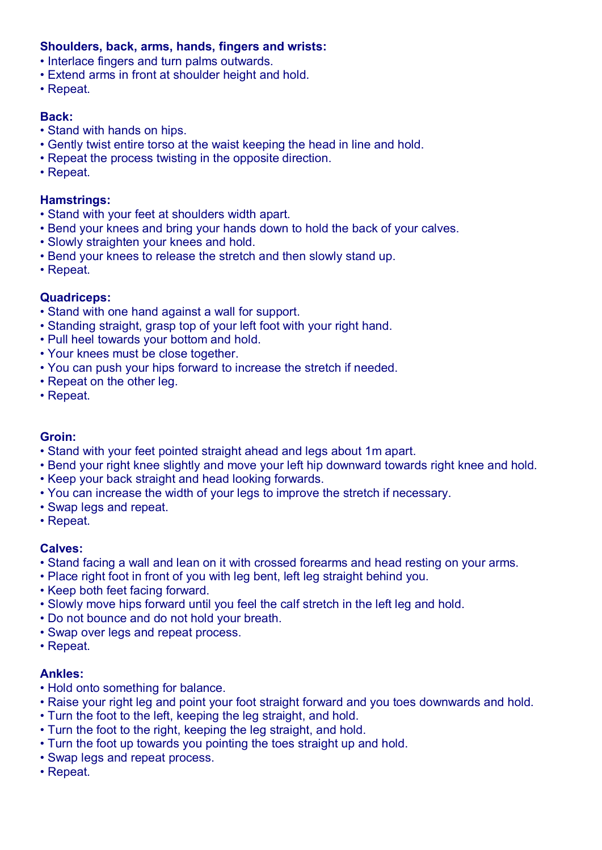# **Shoulders, back, arms, hands, fingers and wrists:**

- Interlace fingers and turn palms outwards.
- Extend arms in front at shoulder height and hold.
- Repeat.

# **Back:**

- Stand with hands on hips.
- Gently twist entire torso at the waist keeping the head in line and hold.
- Repeat the process twisting in the opposite direction.
- Repeat.

### **Hamstrings:**

- Stand with your feet at shoulders width apart.
- Bend your knees and bring your hands down to hold the back of your calves.
- Slowly straighten your knees and hold.
- Bend your knees to release the stretch and then slowly stand up.
- Repeat.

# **Quadriceps:**

- Stand with one hand against a wall for support.
- Standing straight, grasp top of your left foot with your right hand.
- Pull heel towards your bottom and hold.
- Your knees must be close together.
- You can push your hips forward to increase the stretch if needed.
- Repeat on the other leg.
- Repeat.

# **Groin:**

- Stand with your feet pointed straight ahead and legs about 1m apart.
- Bend your right knee slightly and move your left hip downward towards right knee and hold.
- Keep your back straight and head looking forwards.
- You can increase the width of your legs to improve the stretch if necessary.
- Swap legs and repeat.
- Repeat.

# **Calves:**

- Stand facing a wall and lean on it with crossed forearms and head resting on your arms.
- Place right foot in front of you with leg bent, left leg straight behind you.
- Keep both feet facing forward.
- Slowly move hips forward until you feel the calf stretch in the left leg and hold.
- Do not bounce and do not hold your breath.
- Swap over legs and repeat process.
- Repeat.

# **Ankles:**

- Hold onto something for balance.
- Raise your right leg and point your foot straight forward and you toes downwards and hold.
- Turn the foot to the left, keeping the leg straight, and hold.
- Turn the foot to the right, keeping the leg straight, and hold.
- Turn the foot up towards you pointing the toes straight up and hold.
- Swap legs and repeat process.
- Repeat.